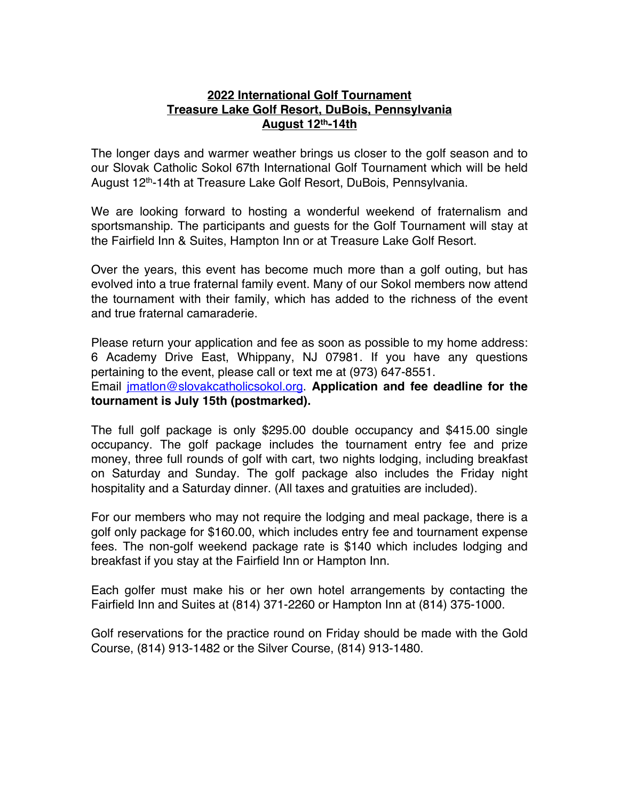## **2022 International Golf Tournament Treasure Lake Golf Resort, DuBois, Pennsylvania August 12th-14th**

The longer days and warmer weather brings us closer to the golf season and to our Slovak Catholic Sokol 67th International Golf Tournament which will be held August 12<sup>th</sup>-14th at Treasure Lake Golf Resort, DuBois, Pennsylvania.

We are looking forward to hosting a wonderful weekend of fraternalism and sportsmanship. The participants and guests for the Golf Tournament will stay at the Fairfield Inn & Suites, Hampton Inn or at Treasure Lake Golf Resort.

Over the years, this event has become much more than a golf outing, but has evolved into a true fraternal family event. Many of our Sokol members now attend the tournament with their family, which has added to the richness of the event and true fraternal camaraderie.

Please return your application and fee as soon as possible to my home address: 6 Academy Drive East, Whippany, NJ 07981. If you have any questions pertaining to the event, please call or text me at (973) 647-8551. Email jmatlon@slovakcatholicsokol.org. **Application and fee deadline for the tournament is July 15th (postmarked).**

The full golf package is only \$295.00 double occupancy and \$415.00 single occupancy. The golf package includes the tournament entry fee and prize money, three full rounds of golf with cart, two nights lodging, including breakfast on Saturday and Sunday. The golf package also includes the Friday night hospitality and a Saturday dinner. (All taxes and gratuities are included).

For our members who may not require the lodging and meal package, there is a golf only package for \$160.00, which includes entry fee and tournament expense fees. The non-golf weekend package rate is \$140 which includes lodging and breakfast if you stay at the Fairfield Inn or Hampton Inn.

Each golfer must make his or her own hotel arrangements by contacting the Fairfield Inn and Suites at (814) 371-2260 or Hampton Inn at (814) 375-1000.

Golf reservations for the practice round on Friday should be made with the Gold Course, (814) 913-1482 or the Silver Course, (814) 913-1480.